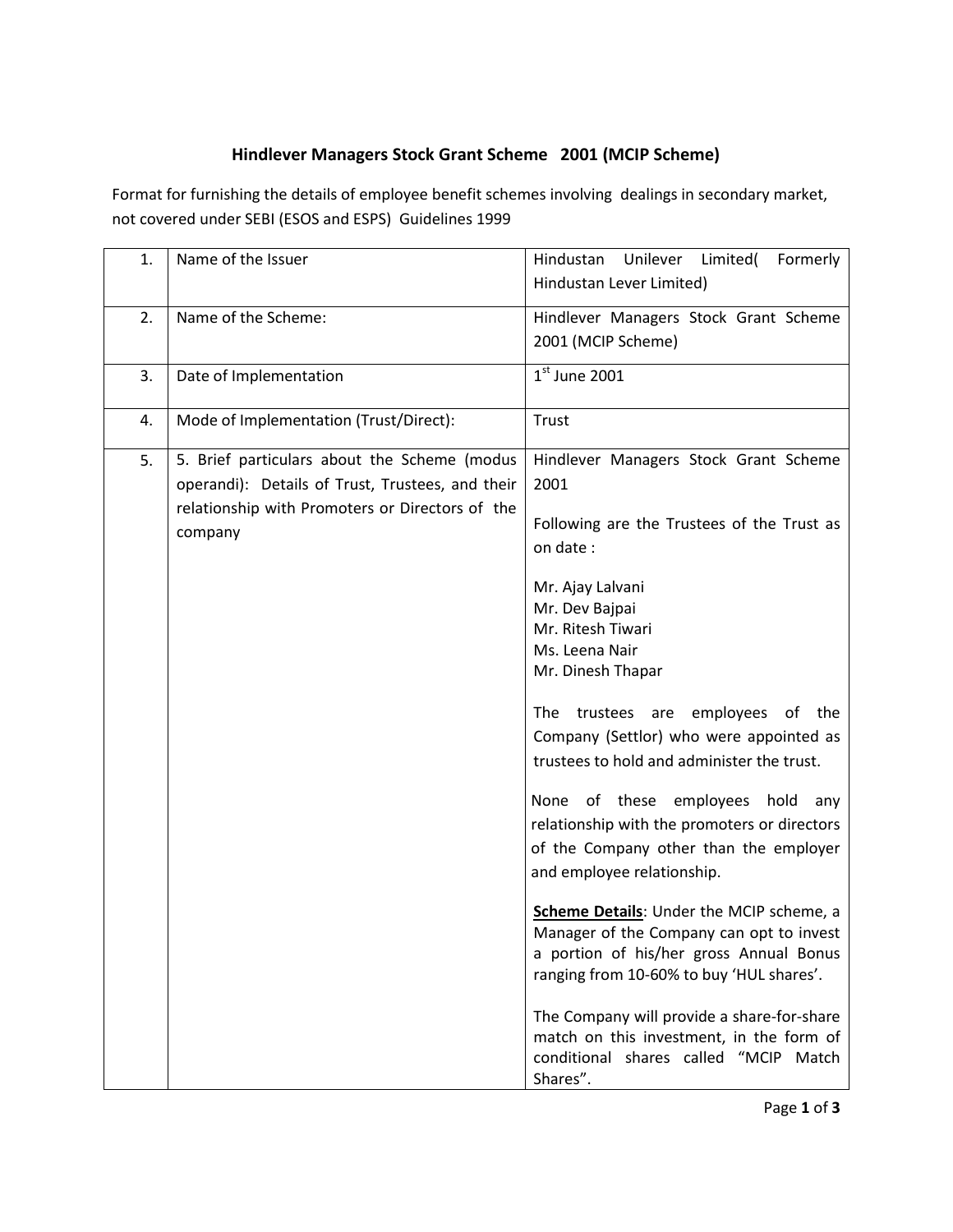## **Hindlever Managers Stock Grant Scheme 2001 (MCIP Scheme)**

Format for furnishing the details of employee benefit schemes involving dealings in secondary market, not covered under SEBI (ESOS and ESPS) Guidelines 1999

| 1. | Name of the Issuer                                                                                                                                             | Unilever Limited(<br>Formerly<br>Hindustan<br>Hindustan Lever Limited)                                                                                                      |
|----|----------------------------------------------------------------------------------------------------------------------------------------------------------------|-----------------------------------------------------------------------------------------------------------------------------------------------------------------------------|
| 2. | Name of the Scheme:                                                                                                                                            | Hindlever Managers Stock Grant Scheme<br>2001 (MCIP Scheme)                                                                                                                 |
| 3. | Date of Implementation                                                                                                                                         | $1st$ June 2001                                                                                                                                                             |
| 4. | Mode of Implementation (Trust/Direct):                                                                                                                         | Trust                                                                                                                                                                       |
| 5. | 5. Brief particulars about the Scheme (modus<br>operandi): Details of Trust, Trustees, and their<br>relationship with Promoters or Directors of the<br>company | Hindlever Managers Stock Grant Scheme<br>2001<br>Following are the Trustees of the Trust as                                                                                 |
|    |                                                                                                                                                                | on date:<br>Mr. Ajay Lalvani<br>Mr. Dev Bajpai<br>Mr. Ritesh Tiwari<br>Ms. Leena Nair<br>Mr. Dinesh Thapar                                                                  |
|    |                                                                                                                                                                | The trustees are employees of the<br>Company (Settlor) who were appointed as<br>trustees to hold and administer the trust.                                                  |
|    |                                                                                                                                                                | None of these employees hold<br>any<br>relationship with the promoters or directors<br>of the Company other than the employer<br>and employee relationship.                 |
|    |                                                                                                                                                                | Scheme Details: Under the MCIP scheme, a<br>Manager of the Company can opt to invest<br>a portion of his/her gross Annual Bonus<br>ranging from 10-60% to buy 'HUL shares'. |
|    |                                                                                                                                                                | The Company will provide a share-for-share<br>match on this investment, in the form of<br>conditional shares called "MCIP Match<br>Shares".                                 |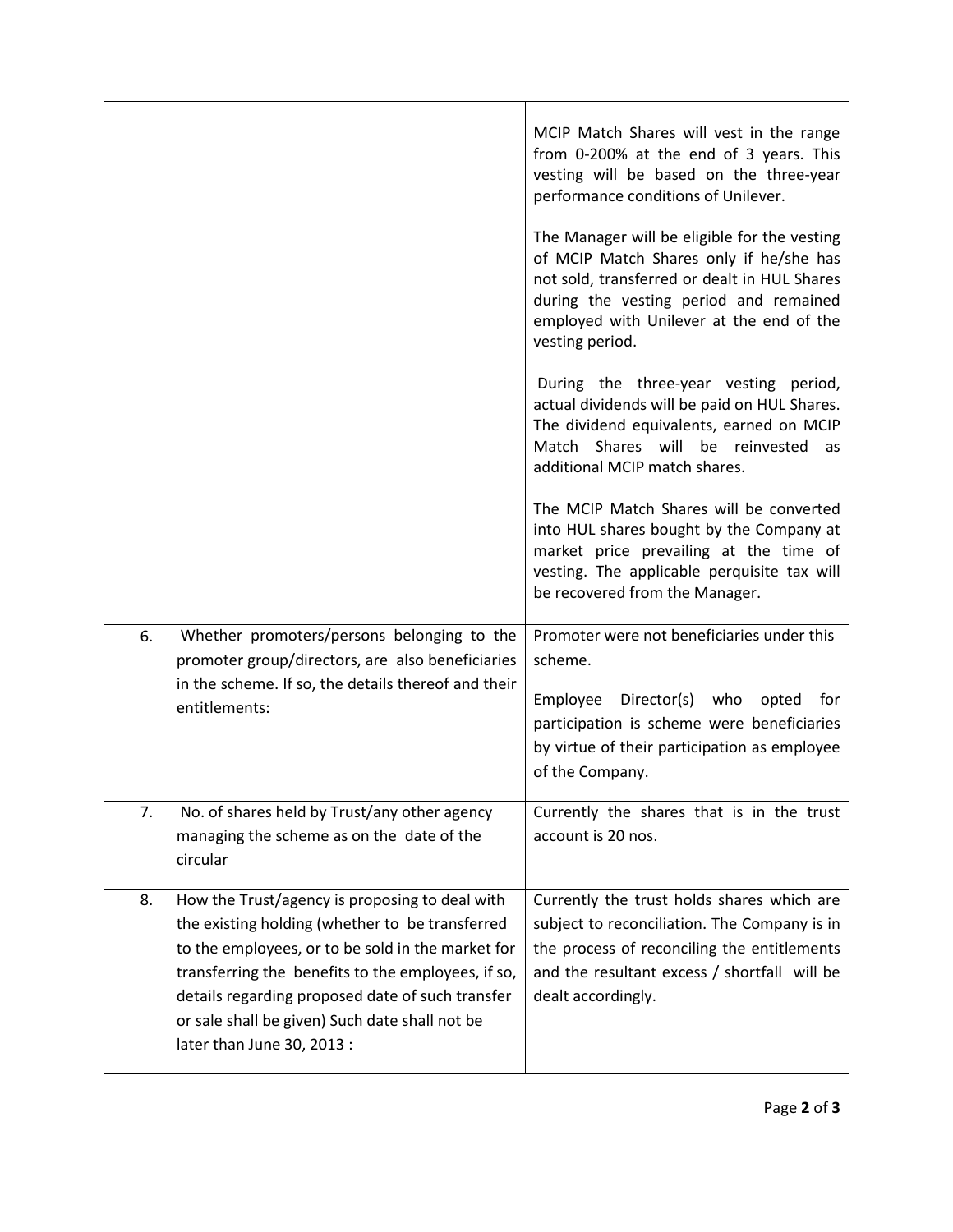|    |                                                                                                                                                                                                                                                                                                                                                  | MCIP Match Shares will vest in the range<br>from 0-200% at the end of 3 years. This<br>vesting will be based on the three-year<br>performance conditions of Unilever.<br>The Manager will be eligible for the vesting<br>of MCIP Match Shares only if he/she has<br>not sold, transferred or dealt in HUL Shares<br>during the vesting period and remained<br>employed with Unilever at the end of the<br>vesting period.<br>During the three-year vesting period,<br>actual dividends will be paid on HUL Shares.<br>The dividend equivalents, earned on MCIP<br>Match Shares will be reinvested<br>as<br>additional MCIP match shares.<br>The MCIP Match Shares will be converted |
|----|--------------------------------------------------------------------------------------------------------------------------------------------------------------------------------------------------------------------------------------------------------------------------------------------------------------------------------------------------|-------------------------------------------------------------------------------------------------------------------------------------------------------------------------------------------------------------------------------------------------------------------------------------------------------------------------------------------------------------------------------------------------------------------------------------------------------------------------------------------------------------------------------------------------------------------------------------------------------------------------------------------------------------------------------------|
|    |                                                                                                                                                                                                                                                                                                                                                  | into HUL shares bought by the Company at<br>market price prevailing at the time of<br>vesting. The applicable perquisite tax will<br>be recovered from the Manager.                                                                                                                                                                                                                                                                                                                                                                                                                                                                                                                 |
| 6. | Whether promoters/persons belonging to the<br>promoter group/directors, are also beneficiaries<br>in the scheme. If so, the details thereof and their<br>entitlements:                                                                                                                                                                           | Promoter were not beneficiaries under this<br>scheme.<br>Director(s) who<br>Employee<br>opted<br>for<br>participation is scheme were beneficiaries<br>by virtue of their participation as employee<br>of the Company.                                                                                                                                                                                                                                                                                                                                                                                                                                                               |
| 7. | No. of shares held by Trust/any other agency<br>managing the scheme as on the date of the<br>circular                                                                                                                                                                                                                                            | Currently the shares that is in the trust<br>account is 20 nos.                                                                                                                                                                                                                                                                                                                                                                                                                                                                                                                                                                                                                     |
| 8. | How the Trust/agency is proposing to deal with<br>the existing holding (whether to be transferred<br>to the employees, or to be sold in the market for<br>transferring the benefits to the employees, if so,<br>details regarding proposed date of such transfer<br>or sale shall be given) Such date shall not be<br>later than June 30, 2013 : | Currently the trust holds shares which are<br>subject to reconciliation. The Company is in<br>the process of reconciling the entitlements<br>and the resultant excess / shortfall will be<br>dealt accordingly.                                                                                                                                                                                                                                                                                                                                                                                                                                                                     |